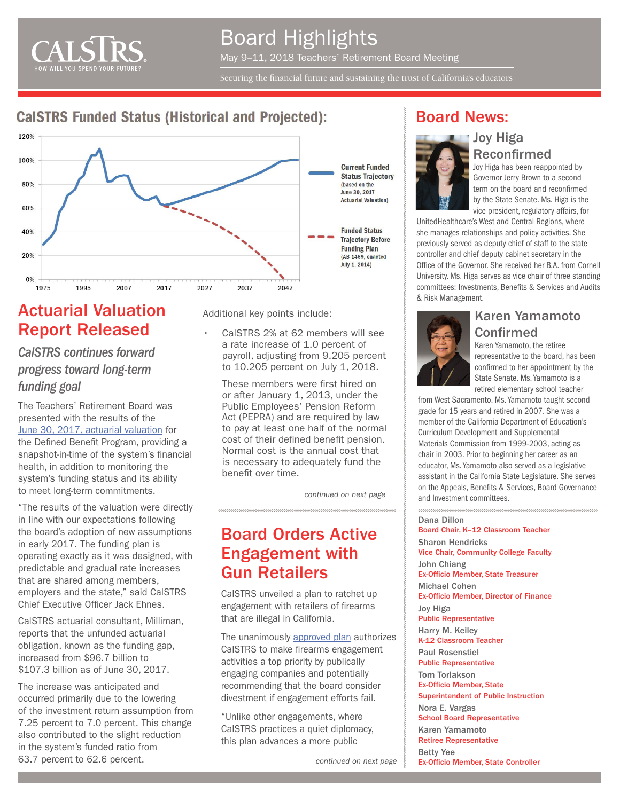

# Board Highlights May 9–11, 2018 Teachers' Retirement Board Meeting

Securing the financial future and sustaining the trust of California's educators

#### **CalSTRS Funded Status (Historical and Projected):**



# Actuarial Valuation Report Released

*CalSTRS continues forward progress toward long-term funding goal*

The Teachers' Retirement Board was presented with the results of the [June 30, 2017, actuarial valuation](https://www.calstrs.com/current-actuarial-valuation-reports) for the Defined Benefit Program, providing a snapshot-in-time of the system's financial health, in addition to monitoring the system's funding status and its ability to meet long-term commitments.

"The results of the valuation were directly in line with our expectations following the board's adoption of new assumptions in early 2017. The funding plan is operating exactly as it was designed, with predictable and gradual rate increases that are shared among members, employers and the state," said CalSTRS Chief Executive Officer Jack Ehnes.

CalSTRS actuarial consultant, Milliman, reports that the unfunded actuarial obligation, known as the funding gap, increased from \$96.7 billion to \$107.3 billion as of June 30, 2017.

The increase was anticipated and occurred primarily due to the lowering of the investment return assumption from 7.25 percent to 7.0 percent. This change also contributed to the slight reduction in the system's funded ratio from 63.7 percent to 62.6 percent.

Additional key points include:

• CalSTRS 2% at 62 members will see a rate increase of 1.0 percent of payroll, adjusting from 9.205 percent to 10.205 percent on July 1, 2018.

These members were first hired on or after January 1, 2013, under the Public Employees' Pension Reform Act (PEPRA) and are required by law to pay at least one half of the normal cost of their defined benefit pension. Normal cost is the annual cost that is necessary to adequately fund the benefit over time.

*continued on next page*

# Board Orders Active Engagement with Gun Retailers

CalSTRS unveiled a plan to ratchet up engagement with retailers of firearms that are illegal in California.

[The unanimously approved plan](https://resources.calstrs.com/publicdocs/Page/CommonPage.aspx?PageName=DocumentDownload&Id=6030e00f-0f0c-49c5-bce2-6634f83d8ec5) authorizes CalSTRS to make firearms engagement activities a top priority by publically engaging companies and potentially recommending that the board consider divestment if engagement efforts fail.

"Unlike other engagements, where CalSTRS practices a quiet diplomacy, this plan advances a more public

#### Board News:



Reconfirmed Joy Higa has been reappointed by Governor Jerry Brown to a second term on the board and reconfirmed by the State Senate. Ms. Higa is the vice president, regulatory affairs, for

UnitedHealthcare's West and Central Regions, where she manages relationships and policy activities. She previously served as deputy chief of staff to the state controller and chief deputy cabinet secretary in the Office of the Governor. She received her B.A. from Cornell University. Ms. Higa serves as vice chair of three standing committees: Investments, Benefits & Services and Audits & Risk Management.

Joy Higa



#### Karen Yamamoto Confirmed

Karen Yamamoto, the retiree representative to the board, has been confirmed to her appointment by the State Senate. Ms. Yamamoto is a retired elementary school teacher

from West Sacramento. Ms. Yamamoto taught second grade for 15 years and retired in 2007. She was a member of the California Department of Education's Curriculum Development and Supplemental Materials Commission from 1999-2003, acting as chair in 2003. Prior to beginning her career as an educator, Ms. Yamamoto also served as a legislative assistant in the California State Legislature. She serves on the Appeals, Benefits & Services, Board Governance and Investment committees.

Dana Dillon

Board Chair, K–12 Classroom Teacher Sharon Hendricks Vice Chair, Community College Faculty John Chiang Ex-Officio Member, State Treasurer Michael Cohen Ex-Officio Member, Director of Finance Joy Higa Public Representative Harry M. Keiley K-12 Classroom Teacher Paul Rosenstiel Public Representative Tom Torlakson Ex-Officio Member, State Superintendent of Public Instruction Nora E. Vargas School Board Representative Karen Yamamoto Retiree Representative Betty Yee Ex-Officio Member, State Controller